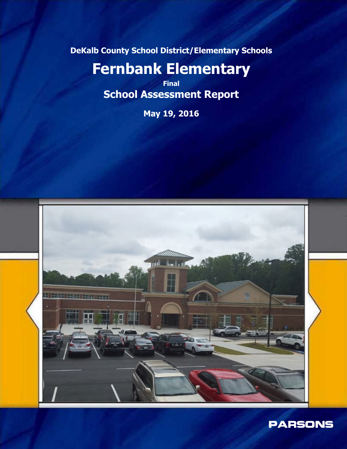**DeKalb County School District/Elementary Schools**

# **Fernbank Elementary**

**Final School Assessment Report**

**May 19, 2016**



PARSONS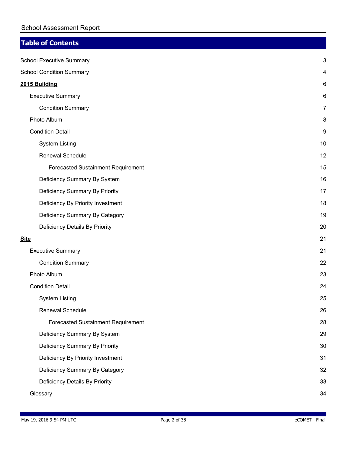## **Table of Contents**

|             | <b>School Executive Summary</b>    | 3  |
|-------------|------------------------------------|----|
|             | <b>School Condition Summary</b>    | 4  |
|             | 2015 Building                      | 6  |
|             | <b>Executive Summary</b>           | 6  |
|             | <b>Condition Summary</b>           | 7  |
|             | Photo Album                        | 8  |
|             | <b>Condition Detail</b>            | 9  |
|             | <b>System Listing</b>              | 10 |
|             | Renewal Schedule                   | 12 |
|             | Forecasted Sustainment Requirement | 15 |
|             | Deficiency Summary By System       | 16 |
|             | Deficiency Summary By Priority     | 17 |
|             | Deficiency By Priority Investment  | 18 |
|             | Deficiency Summary By Category     | 19 |
|             | Deficiency Details By Priority     | 20 |
| <u>Site</u> |                                    | 21 |
|             | <b>Executive Summary</b>           | 21 |
|             | <b>Condition Summary</b>           | 22 |
|             | Photo Album                        | 23 |
|             | <b>Condition Detail</b>            | 24 |
|             | <b>System Listing</b>              | 25 |
|             | Renewal Schedule                   | 26 |
|             | Forecasted Sustainment Requirement | 28 |
|             | Deficiency Summary By System       | 29 |
|             | Deficiency Summary By Priority     | 30 |
|             | Deficiency By Priority Investment  | 31 |
|             | Deficiency Summary By Category     | 32 |
|             | Deficiency Details By Priority     | 33 |
|             | Glossary                           | 34 |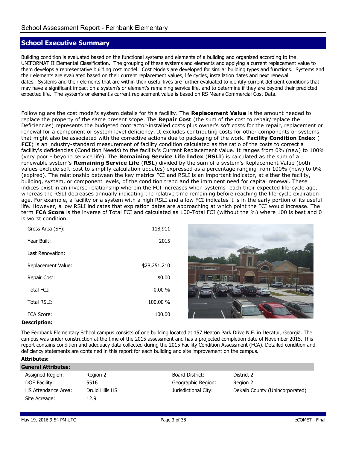## **School Executive Summary**

Building condition is evaluated based on the functional systems and elements of a building and organized according to the UNIFORMAT II Elemental Classification. The grouping of these systems and elements and applying a current replacement value to them develops a representative building cost model. Cost Models are developed for similar building types and functions. Systems and their elements are evaluated based on their current replacement values, life cycles, installation dates and next renewal dates. Systems and their elements that are within their useful lives are further evaluated to identify current deficient conditions that may have a significant impact on a system's or element's remaining service life, and to determine if they are beyond their predicted expected life. The system's or element's current replacement value is based on RS Means Commercial Cost Data.

Following are the cost model's system details for this facility. The **Replacement Value** is the amount needed to replace the property of the same present scope. The **Repair Cost** (the sum of the cost to repair/replace the Deficiencies) represents the budgeted contractor-installed costs plus owner's soft costs for the repair, replacement or renewal for a component or system level deficiency. It excludes contributing costs for other components or systems that might also be associated with the corrective actions due to packaging of the work. **Facility Condition Index** ( **FCI**) is an industry-standard measurement of facility condition calculated as the ratio of the costs to correct a facility's deficiencies (Condition Needs) to the facility's Current Replacement Value. It ranges from 0% (new) to 100% (very poor - beyond service life). The **Remaining Service Life Index** (**RSLI**) is calculated as the sum of a renewable system's **Remaining Service Life** (**RSL**) divided by the sum of a system's Replacement Value (both values exclude soft-cost to simplify calculation updates) expressed as a percentage ranging from 100% (new) to 0% (expired). The relationship between the key metrics FCI and RSLI is an important indicator, at either the facility, building, system, or component levels, of the condition trend and the imminent need for capital renewal. These indices exist in an inverse relationship wherein the FCI increases when systems reach their expected life-cycle age, whereas the RSLI decreases annually indicating the relative time remaining before reaching the life-cycle expiration age. For example, a facility or a system with a high RSLI and a low FCI indicates it is in the early portion of its useful life. However, a low RSLI indicates that expiration dates are approaching at which point the FCI would increase. The term **FCA Score** is the inverse of Total FCI and calculated as 100-Total FCI (without the %) where 100 is best and 0 is worst condition.

| Gross Area (SF):   | 118,911      |
|--------------------|--------------|
| Year Built:        | 2015         |
| Last Renovation:   |              |
| Replacement Value: | \$28,251,210 |
| Repair Cost:       | \$0.00       |
| Total FCI:         | 0.00%        |
| <b>Total RSLI:</b> | 100.00 %     |
| <b>FCA Score:</b>  | 100.00       |



#### **Description:**

The Fernbank Elementary School campus consists of one building located at 157 Heaton Park Drive N.E. in Decatur, Georgia. The campus was under construction at the time of the 2015 assessment and has a projected completion date of November 2015. This report contains condition and adequacy data collected during the 2015 Facility Condition Assessment (FCA). Detailed condition and deficiency statements are contained in this report for each building and site improvement on the campus.

#### **Attributes:**

| General Attributes: |                |                      |                                |  |  |  |  |  |  |  |  |  |
|---------------------|----------------|----------------------|--------------------------------|--|--|--|--|--|--|--|--|--|
| Assigned Region:    | Region 2       | Board District:      | District 2                     |  |  |  |  |  |  |  |  |  |
| DOE Facility:       | 5516           | Geographic Region:   | Region 2                       |  |  |  |  |  |  |  |  |  |
| HS Attendance Area: | Druid Hills HS | Jurisdictional City: | DeKalb County (Unincorporated) |  |  |  |  |  |  |  |  |  |
| Site Acreage:       | 12.9           |                      |                                |  |  |  |  |  |  |  |  |  |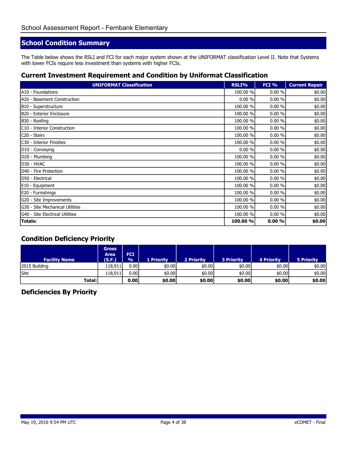## **School Condition Summary**

The Table below shows the RSLI and FCI for each major system shown at the UNIFORMAT classification Level II. Note that Systems with lower FCIs require less investment than systems with higher FCIs.

#### **Current Investment Requirement and Condition by Uniformat Classification**

| <b>UNIFORMAT Classification</b> | RSLI%    | FCI % | <b>Current Repair</b> |
|---------------------------------|----------|-------|-----------------------|
| A10 - Foundations               | 100.00 % | 0.00% | \$0.00                |
| A20 - Basement Construction     | 0.00%    | 0.00% | \$0.00                |
| B10 - Superstructure            | 100.00 % | 0.00% | \$0.00                |
| B20 - Exterior Enclosure        | 100.00 % | 0.00% | \$0.00                |
| B30 - Roofing                   | 100.00 % | 0.00% | \$0.00                |
| C10 - Interior Construction     | 100.00 % | 0.00% | \$0.00                |
| C20 - Stairs                    | 100.00 % | 0.00% | \$0.00                |
| C30 - Interior Finishes         | 100.00 % | 0.00% | \$0.00                |
| D10 - Conveying                 | 0.00%    | 0.00% | \$0.00                |
| D20 - Plumbing                  | 100.00 % | 0.00% | \$0.00                |
| D30 - HVAC                      | 100.00 % | 0.00% | \$0.00                |
| D40 - Fire Protection           | 100.00 % | 0.00% | \$0.00                |
| D50 - Electrical                | 100.00 % | 0.00% | \$0.00                |
| E10 - Equipment                 | 100.00 % | 0.00% | \$0.00                |
| E20 - Furnishings               | 100.00 % | 0.00% | \$0.00                |
| G20 - Site Improvements         | 100.00 % | 0.00% | \$0.00                |
| G30 - Site Mechanical Utilities | 100.00 % | 0.00% | \$0.00                |
| G40 - Site Electrical Utilities | 100.00 % | 0.00% | \$0.00                |
| <b>Totals:</b>                  | 100.00 % | 0.00% | \$0.00                |

#### **Condition Deficiency Priority**

| <b>Facility Name</b> | <b>Gross</b><br>Area<br>(S.F.) | <b>FCI</b><br>$\frac{0}{0}$ | <b>1 Priority</b> | 2 Priority | <b>3 Priority</b> | <b>4 Priority</b> | <b>5 Priority</b> |
|----------------------|--------------------------------|-----------------------------|-------------------|------------|-------------------|-------------------|-------------------|
| 2015 Building        | 118,911                        | 0.00I                       | \$0.00            | \$0.00     | \$0.00            | \$0.00            | \$0.00            |
| Site                 | 118,911                        | 0.00 <sub>l</sub>           | \$0.00            | \$0.00     | \$0.00            | \$0.00            | \$0.00            |
| Total:l              |                                | 0.00 <sub>1</sub>           | \$0.00            | \$0.00     | \$0.00            | \$0.00            | \$0.00            |

#### **Deficiencies By Priority**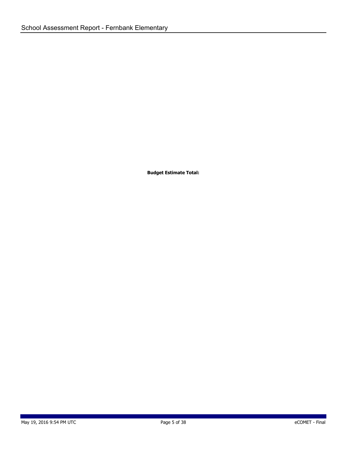**Budget Estimate Total:**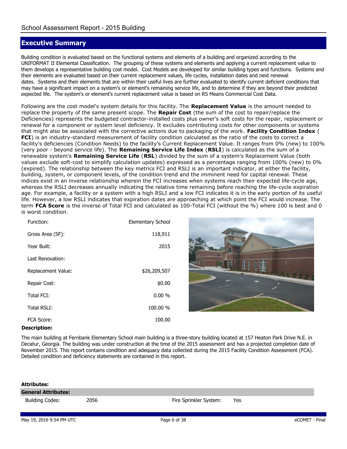## **Executive Summary**

Building condition is evaluated based on the functional systems and elements of a building and organized according to the UNIFORMAT II Elemental Classification. The grouping of these systems and elements and applying a current replacement value to them develops a representative building cost model. Cost Models are developed for similar building types and functions. Systems and their elements are evaluated based on their current replacement values, life cycles, installation dates and next renewal dates. Systems and their elements that are within their useful lives are further evaluated to identify current deficient conditions that may have a significant impact on a system's or element's remaining service life, and to determine if they are beyond their predicted expected life. The system's or element's current replacement value is based on RS Means Commercial Cost Data.

Following are the cost model's system details for this facility. The **Replacement Value** is the amount needed to replace the property of the same present scope. The **Repair Cost** (the sum of the cost to repair/replace the Deficiencies) represents the budgeted contractor-installed costs plus owner's soft costs for the repair, replacement or renewal for a component or system level deficiency. It excludes contributing costs for other components or systems that might also be associated with the corrective actions due to packaging of the work. **Facility Condition Index** ( **FCI**) is an industry-standard measurement of facility condition calculated as the ratio of the costs to correct a facility's deficiencies (Condition Needs) to the facility's Current Replacement Value. It ranges from 0% (new) to 100% (very poor - beyond service life). The **Remaining Service Life Index** (**RSLI**) is calculated as the sum of a renewable system's **Remaining Service Life** (**RSL**) divided by the sum of a system's Replacement Value (both values exclude soft-cost to simplify calculation updates) expressed as a percentage ranging from 100% (new) to 0% (expired). The relationship between the key metrics FCI and RSLI is an important indicator, at either the facility, building, system, or component levels, of the condition trend and the imminent need for capital renewal. These indices exist in an inverse relationship wherein the FCI increases when systems reach their expected life-cycle age, whereas the RSLI decreases annually indicating the relative time remaining before reaching the life-cycle expiration age. For example, a facility or a system with a high RSLI and a low FCI indicates it is in the early portion of its useful life. However, a low RSLI indicates that expiration dates are approaching at which point the FCI would increase. The term **FCA Score** is the inverse of Total FCI and calculated as 100-Total FCI (without the %) where 100 is best and 0 is worst condition.

| Function:          | Elementary School |
|--------------------|-------------------|
| Gross Area (SF):   | 118,911           |
| Year Built:        | 2015              |
| Last Renovation:   |                   |
| Replacement Value: | \$26,209,507      |
| Repair Cost:       | \$0.00            |
| Total FCI:         | $0.00 \%$         |
| Total RSLI:        | 100.00 %          |
| FCA Score:         | 100.00            |



#### **Description:**

The main building at Fernbank Elementary School main building is a three-story building located at 157 Heaton Park Drive N.E. in Decatur, Georgia. The building was under construction at the time of the 2015 assessment and has a projected completion date of November 2015. This report contains condition and adequacy data collected during the 2015 Facility Condition Assessment (FCA). Detailed condition and deficiency statements are contained in this report.

| Attributes:                |      |                        |     |
|----------------------------|------|------------------------|-----|
| <b>General Attributes:</b> |      |                        |     |
| <b>Building Codes:</b>     | 2056 | Fire Sprinkler System: | Yes |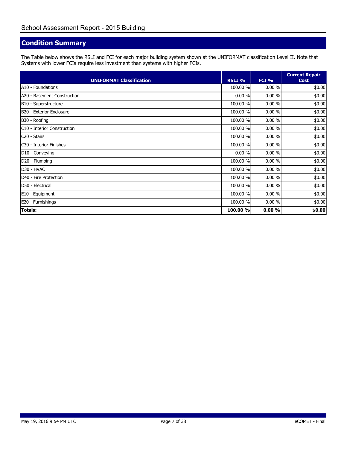## **Condition Summary**

The Table below shows the RSLI and FCI for each major building system shown at the UNIFORMAT classification Level II. Note that Systems with lower FCIs require less investment than systems with higher FCIs.

| <b>UNIFORMAT Classification</b> | RSLI %   | FCI %  | <b>Current Repair</b><br><b>Cost</b> |
|---------------------------------|----------|--------|--------------------------------------|
| A10 - Foundations               | 100.00 % | 0.00 % | \$0.00                               |
| A20 - Basement Construction     | 0.00 %   | 0.00%  | \$0.00                               |
| B10 - Superstructure            | 100.00 % | 0.00%  | \$0.00                               |
| B20 - Exterior Enclosure        | 100.00 % | 0.00%  | \$0.00                               |
| B30 - Roofing                   | 100.00 % | 0.00%  | \$0.00                               |
| C10 - Interior Construction     | 100.00 % | 0.00%  | \$0.00                               |
| C <sub>20</sub> - Stairs        | 100.00 % | 0.00%  | \$0.00                               |
| C30 - Interior Finishes         | 100.00 % | 0.00%  | \$0.00                               |
| D10 - Conveying                 | 0.00%    | 0.00%  | \$0.00                               |
| D20 - Plumbing                  | 100.00 % | 0.00%  | \$0.00                               |
| D30 - HVAC                      | 100.00 % | 0.00%  | \$0.00                               |
| D40 - Fire Protection           | 100.00 % | 0.00%  | \$0.00                               |
| D50 - Electrical                | 100.00 % | 0.00%  | \$0.00                               |
| E10 - Equipment                 | 100.00 % | 0.00%  | \$0.00                               |
| E20 - Furnishings               | 100.00 % | 0.00%  | \$0.00                               |
| <b>Totals:</b>                  | 100.00 % | 0.00%  | \$0.00                               |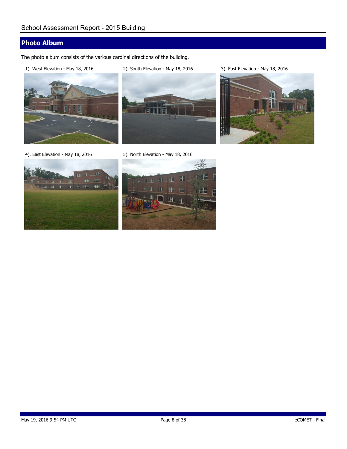## **Photo Album**

The photo album consists of the various cardinal directions of the building.

1). West Elevation - May 18, 2016 2). South Elevation - May 18, 2016 3). East Elevation - May 18, 2016



10व







4). East Elevation - May 18, 2016 5). North Elevation - May 18, 2016



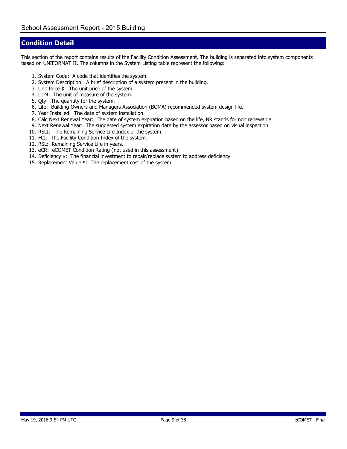#### **Condition Detail**

This section of the report contains results of the Facility Condition Assessment. The building is separated into system components based on UNIFORMAT II. The columns in the System Listing table represent the following:

- 1. System Code: A code that identifies the system.
- 2. System Description: A brief description of a system present in the building.
- 3. Unit Price \$: The unit price of the system.
- 4. UoM: The unit of measure of the system.
- 5. Qty: The quantity for the system.
- 6. Life: Building Owners and Managers Association (BOMA) recommended system design life.
- 7. Year Installed: The date of system installation.
- 8. Calc Next Renewal Year: The date of system expiration based on the life, NR stands for non renewable.
- 9. Next Renewal Year: The suggested system expiration date by the assessor based on visual inspection.
- 10. RSLI: The Remaining Service Life Index of the system.
- 11. FCI: The Facility Condition Index of the system.
- 12. RSL: Remaining Service Life in years.
- 13. eCR: eCOMET Condition Rating (*not used in this assessment*).
- 14. Deficiency \$: The financial investment to repair/replace system to address deficiency.
- 15. Replacement Value \$: The replacement cost of the system.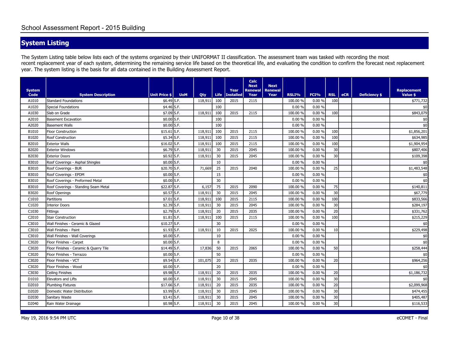# **System Listing**

The System Listing table below lists each of the systems organized by their UNIFORMAT II classification. The assessment team was tasked with recording the most recent replacement year of each system, determining the remaining service life based on the theoretical life, and evaluating the condition to confirm the forecast next replacement year. The system listing is the basis for all data contained in the Building Assessment Report.

| <b>System</b><br>Code | <b>System Description</b>              | Unit Price \$           | <b>UoM</b> | Qty     | <b>Life</b> | Year<br><b>Installed</b> | Calc<br><b>Next</b><br>Renewal<br>Year | <b>Next</b><br><b>Renewal</b><br>Year | RSLI%    | FCI%   | <b>RSL</b> | <b>eCR</b> | <b>Deficiency \$</b> | <b>Replacement</b><br>Value \$ |
|-----------------------|----------------------------------------|-------------------------|------------|---------|-------------|--------------------------|----------------------------------------|---------------------------------------|----------|--------|------------|------------|----------------------|--------------------------------|
| A1010                 | <b>Standard Foundations</b>            | $$6.49$ S.F.            |            | 118,911 | 100         | 2015                     | 2115                                   |                                       | 100.00 % | 0.00%  | 100        |            |                      | \$771,732                      |
| A1020                 | <b>Special Foundations</b>             | $$4.46$ S.F.            |            |         | 100         |                          |                                        |                                       | 0.00%    | 0.00%  |            |            |                      | \$0                            |
| A1030                 | Slab on Grade                          | \$7.09 S.F.             |            | 118,911 | 100         | 2015                     | 2115                                   |                                       | 100.00 % | 0.00%  | 100        |            |                      | \$843,079                      |
| A2010                 | <b>Basement Excavation</b>             | $$0.00$ S.F.            |            |         | 100         |                          |                                        |                                       | 0.00%    | 0.00%  |            |            |                      | \$0                            |
| A2020                 | <b>Basement Walls</b>                  | $$0.00$ S.F.            |            |         | 100         |                          |                                        |                                       | 0.00%    | 0.00%  |            |            |                      | \$0                            |
| B1010                 | <b>Floor Construction</b>              | $$15.61$ S.F.           |            | 118,911 | 100         | 2015                     | 2115                                   |                                       | 100.00 % | 0.00%  | 100        |            |                      | \$1,856,201                    |
| B1020                 | Roof Construction                      | $$5.34$ S.F.            |            | 118,911 | 100         | 2015                     | 2115                                   |                                       | 100.00 % | 0.00%  | 100        |            |                      | \$634,985                      |
| B2010                 | <b>Exterior Walls</b>                  | $$16.02$ S.F.           |            | 118,911 | 100         | 2015                     | 2115                                   |                                       | 100.00 % | 0.00%  | 100        |            |                      | \$1,904,954                    |
| B2020                 | <b>Exterior Windows</b>                | \$6.79 S.F.             |            | 118,911 | 30          | 2015                     | 2045                                   |                                       | 100.00 % | 0.00 % | 30         |            |                      | \$807,406                      |
| B2030                 | <b>Exterior Doors</b>                  | $$0.92$ S.F.            |            | 118,911 | 30          | 2015                     | 2045                                   |                                       | 100.00 % | 0.00 % | 30         |            |                      | \$109,398                      |
| B3010                 | Roof Coverings - Asphal Shingles       | $$0.00$ S.F.            |            |         | 10          |                          |                                        |                                       | 0.00%    | 0.00 % |            |            |                      | \$0                            |
| B3010                 | Roof Coverings - BUR                   | \$20.70 S.F.            |            | 71,669  | 25          | 2015                     | 2040                                   |                                       | 100.00 % | 0.00 % | 25         |            |                      | \$1,483,548                    |
| B3010                 | Roof Coverings - EPDM                  | $$0.00$ S.F.            |            |         | 15          |                          |                                        |                                       | 0.00%    | 0.00%  |            |            |                      | \$0                            |
| B3010                 | Roof Coverings - Preformed Metal       | $$0.00$ S.F.            |            |         | 30          |                          |                                        |                                       | 0.00 %   | 0.00%  |            |            |                      | \$0                            |
| B3010                 | Roof Coverings - Standing Seam Metal   | \$22.87 S.F.            |            | 6,157   | 75          | 2015                     | 2090                                   |                                       | 100.00 % | 0.00%  | 75         |            |                      | \$140,811                      |
| B3020                 | Roof Openings                          | $$0.57$ S.F.            |            | 118,911 | 30          | 2015                     | 2045                                   |                                       | 100.00 % | 0.00%  | 30         |            |                      | \$67,779                       |
| C1010                 | Partitions                             | $$7.01$ S.F.            |            | 118,911 | 100         | 2015                     | 2115                                   |                                       | 100.00 % | 0.00%  | 100        |            |                      | \$833,566                      |
| C1020                 | <b>Interior Doors</b>                  | $$2.39$ S.F.            |            | 118,911 | 30          | 2015                     | 2045                                   |                                       | 100.00 % | 0.00%  | 30         |            |                      | \$284,197                      |
| C1030                 | <b>Fittings</b>                        | $$2.79$ S.F.            |            | 118,911 | 20          | 2015                     | 2035                                   |                                       | 100.00 % | 0.00%  | 20         |            |                      | \$331,762                      |
| C2010                 | <b>Stair Construction</b>              | $$1.81$ S.F.            |            | 118,911 | 100         | 2015                     | 2115                                   |                                       | 100.00 % | 0.00%  | 100        |            |                      | \$215,229                      |
| C3010                 | Wall Finishes - Ceramic & Glazed       | $$10.27$ S.F.           |            |         | 30          |                          |                                        |                                       | 0.00%    | 0.00%  |            |            |                      | \$0                            |
| C3010                 | Wall Finishes - Paint                  | $$1.93$ S.F.            |            | 118,911 | 10          | 2015                     | 2025                                   |                                       | 100.00 % | 0.00%  | 10         |            |                      | \$229,498                      |
| C3010                 | Wall Finishes - Wall Coverings         | $$0.00$ S.F.            |            |         | 10          |                          |                                        |                                       | 0.00%    | 0.00%  |            |            |                      | $$0$                           |
| C3020                 | Floor Finishes - Carpet                | $$0.00$ S.F.            |            |         | 8           |                          |                                        |                                       | 0.00%    | 0.00%  |            |            |                      | \$0                            |
| C3020                 | Floor Finishes - Ceramic & Quarry Tile | $$14.49$ S.F.           |            | 17,836  | 50          | 2015                     | 2065                                   |                                       | 100.00 % | 0.00%  | 50         |            |                      | \$258,444                      |
| C3020                 | Floor Finishes - Terrazzo              | $$0.00$ <sub>S.F.</sub> |            |         | 50          |                          |                                        |                                       | 0.00%    | 0.00%  |            |            |                      | \$0                            |
| C3020                 | Floor Finishes - VCT                   | $$9.54$ S.F.            |            | 101,075 | 20          | 2015                     | 2035                                   |                                       | 100.00 % | 0.00%  | 20         |            |                      | \$964,256                      |
| C3020                 | Floor Finishes - Wood                  | $$0.00$ S.F.            |            |         | 20          |                          |                                        |                                       | 0.00 %   | 0.00%  |            |            |                      | \$0                            |
| C3030                 | Ceiling Finishes                       | $$9.98$ S.F.            |            | 118,911 | 20          | 2015                     | 2035                                   |                                       | 100.00 % | 0.00%  | 20         |            |                      | \$1,186,732                    |
| D1010                 | Elevators and Lifts                    | $$0.00$ S.F.            |            | 118,911 | 30          | 2015                     | 2045                                   |                                       | 100.00 % | 0.00%  | 30         |            |                      | \$0                            |
| D2010                 | <b>Plumbing Fixtures</b>               | $$17.66$ S.F.           |            | 118,911 | 20          | 2015                     | 2035                                   |                                       | 100.00 % | 0.00%  | 20         |            |                      | \$2,099,968                    |
| D2020                 | Domestic Water Distribution            | $$3.99$ S.F.            |            | 118,911 | 30          | 2015                     | 2045                                   |                                       | 100.00 % | 0.00%  | 30         |            |                      | \$474,455                      |
| D2030                 | Sanitary Waste                         | $$3.41$ S.F.            |            | 118,911 | 30          | 2015                     | 2045                                   |                                       | 100.00 % | 0.00%  | 30         |            |                      | \$405,487                      |
| D2040                 | Rain Water Drainage                    | $$0.98$ S.F.            |            | 118,911 | 30          | 2015                     | 2045                                   |                                       | 100.00 % | 0.00%  | 30         |            |                      | \$116,533                      |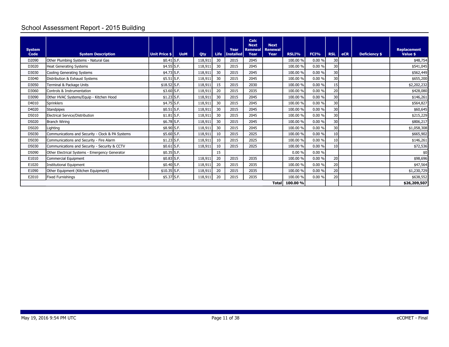# School Assessment Report - 2015 Building

| <b>System</b><br>Code | <b>System Description</b>                        | Unit Price \$ | <b>UoM</b> | Qty     | Life | Year<br><b>Installed</b> | Calc<br><b>Next</b><br><b>Renewal</b><br>Year | <b>Next</b><br>Renewal<br>Year | RSLI%    | FCI%      | <b>RSL</b> | <b>eCR</b> | <b>Deficiency \$</b> | <b>Replacement</b><br>Value \$ |
|-----------------------|--------------------------------------------------|---------------|------------|---------|------|--------------------------|-----------------------------------------------|--------------------------------|----------|-----------|------------|------------|----------------------|--------------------------------|
| D2090                 | Other Plumbing Systems - Natural Gas             | $$0.41$ S.F.  |            | 118,911 | 30   | 2015                     | 2045                                          |                                | 100.00 % | $0.00 \%$ | 30         |            |                      | \$48,754                       |
| D3020                 | <b>Heat Generating Systems</b>                   | $$4.55$ S.F.  |            | 118,911 | 30   | 2015                     | 2045                                          |                                | 100.00 % | 0.00%     | 30         |            |                      | \$541,045                      |
| D3030                 | Cooling Generating Systems                       | \$4.73 S.F.   |            | 118,911 | 30   | 2015                     | 2045                                          |                                | 100.00 % | 0.00%     | 30         |            |                      | \$562,449                      |
| D3040                 | Distribution & Exhaust Systems                   | $$5.51$ S.F.  |            | 118,911 | 30   | 2015                     | 2045                                          |                                | 100.00 % | 0.00%     | 30         |            |                      | \$655,200                      |
| D3050                 | Terminal & Package Units                         | \$18.52 S.F.  |            | 118,911 | 15   | 2015                     | 2030                                          |                                | 100.00 % | 0.00%     | 15         |            |                      | \$2,202,232                    |
| D3060                 | Controls & Instrumentation                       | $$3.60$ S.F.  |            | 118,911 | 20   | 2015                     | 2035                                          |                                | 100.00 % | 0.00%     | 20         |            |                      | \$428,080                      |
| D3090                 | Other HVAC Systems/Equip - Kitchen Hood          | $$1.23$ S.F.  |            | 118,911 | 30   | 2015                     | 2045                                          |                                | 100.00 % | 0.00%     | 30         |            |                      | \$146,261                      |
| D4010                 | Sprinklers                                       | $$4.75$ S.F.  |            | 118,911 | 30   | 2015                     | 2045                                          |                                | 100.00 % | 0.00%     | 30         |            |                      | \$564,827                      |
| D4020                 | <b>Standpipes</b>                                | $$0.51$ S.F.  |            | 118,911 | 30   | 2015                     | 2045                                          |                                | 100.00 % | 0.00%     | 30         |            |                      | \$60,645                       |
| D5010                 | Electrical Service/Distribution                  | $$1.81$ S.F.  |            | 118,911 | 30   | 2015                     | 2045                                          |                                | 100.00 % | 0.00%     | 30         |            |                      | \$215,229                      |
| D5020                 | <b>Branch Wiring</b>                             | \$6.78 S.F.   |            | 118,911 | 30   | 2015                     | 2045                                          |                                | 100.00 % | 0.00%     | 30         |            |                      | \$806,217                      |
| D5020                 | Lighting                                         | \$8.90 S.F.   |            | 118,911 | 30   | 2015                     | 2045                                          |                                | 100.00 % | 0.00%     | 30         |            |                      | \$1,058,308                    |
| D5030                 | Communications and Security - Clock & PA Systems | \$5.60 S.F.   |            | 118,911 | 10   | 2015                     | 2025                                          |                                | 100.00 % | 0.00%     | 10         |            |                      | \$665,902                      |
| D5030                 | Communications and Security - Fire Alarm         | $$1.23$ S.F.  |            | 118,911 | 10   | 2015                     | 2025                                          |                                | 100.00 % | 0.00%     | 10         |            |                      | \$146,261                      |
| D5030                 | Communications and Security - Security & CCTV    | $$0.61$ S.F.  |            | 118,911 | 10   | 2015                     | 2025                                          |                                | 100.00 % | 0.00%     | 10         |            |                      | \$72,536                       |
| D5090                 | Other Electrical Systems - Emergency Generator   | $$0.35$ S.F.  |            |         | 15   |                          |                                               |                                | 0.00%    | 0.00%     |            |            |                      | \$0                            |
| E1010                 | Commercial Equipment                             | $$0.83$ S.F.  |            | 118,911 | 20   | 2015                     | 2035                                          |                                | 100.00 % | 0.00%     | 20         |            |                      | \$98,696                       |
| E1020                 | <b>Institutional Equipment</b>                   | $$0.40$ S.F.  |            | 118,911 | 20   | 2015                     | 2035                                          |                                | 100.00 % | 0.00%     | 20         |            |                      | \$47,564                       |
| E1090                 | Other Equipment (Kitchen Equipment)              | \$10.35 S.F.  |            | 118,911 | 20   | 2015                     | 2035                                          |                                | 100.00 % | 0.00%     | 20         |            |                      | \$1,230,729                    |
| E2010                 | <b>Fixed Furnishings</b>                         | \$5.37 S.F.   |            | 118,911 | 20   | 2015                     | 2035                                          |                                | 100.00 % | 0.00%     | 20         |            |                      | \$638,552                      |
|                       |                                                  |               |            |         |      |                          |                                               | <b>Total</b>                   | 100.00 % |           |            |            |                      | \$26,209,507                   |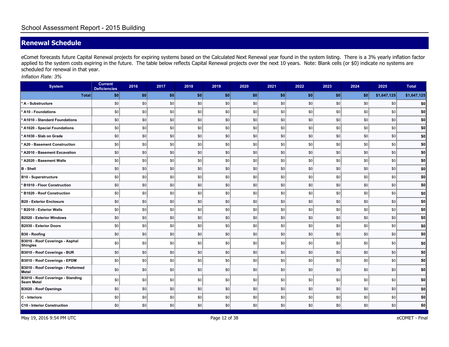## **Renewal Schedule**

eComet forecasts future Capital Renewal projects for expiring systems based on the Calculated Next Renewal year found in the system listing. There is a 3% yearly inflation factor applied to the system costs expiring in the future. The table below reflects Capital Renewal projects over the next 10 years. Note: Blank cells (or \$0) indicate no systems are scheduled for renewal in that year.

*Inflation Rate: 3%*

| <b>System</b>                                      | <b>Current</b><br><b>Deficiencies</b> | 2016           | 2017 | 2018 | 2019           | 2020 | 2021 | 2022 | 2023 | 2024 | 2025        | <b>Total</b> |
|----------------------------------------------------|---------------------------------------|----------------|------|------|----------------|------|------|------|------|------|-------------|--------------|
| Total:                                             | \$0                                   | \$0            | \$0  | \$0  | \$0            | \$0  | \$0  | \$0  | \$0  | \$0  | \$1,647,125 | \$1,647,125  |
| A - Substructure                                   | \$0                                   | \$0            | \$0  | \$0  | \$0            | \$0  | \$0  | \$0  | \$0  | \$0  | \$0         | \$0          |
| A10 - Foundations                                  | \$0                                   | \$0            | \$0  | \$0  | $\frac{1}{20}$ | \$0  | \$0  | \$0  | \$0  | \$0  | \$0         | \$0          |
| A1010 - Standard Foundations                       | \$0                                   | \$0            | \$0  | \$0  | \$0            | \$0  | \$0  | \$0  | \$0  | \$0  | \$0         | \$0          |
| A1020 - Special Foundations                        | \$0                                   | \$0            | \$0  | \$0  | \$0            | \$0  | \$0  | \$0  | \$0  | \$0  | \$0         | \$0          |
| A1030 - Slab on Grade                              | \$0                                   | \$0            | \$0  | \$0  | \$0            | \$0  | \$0  | \$0  | \$0  | \$0  | \$0         | \$0          |
| A20 - Basement Construction                        | \$0                                   | \$0            | \$0  | \$0  | \$0            | \$0  | \$0  | \$0  | \$0  | \$0  | \$0         | \$0          |
| A2010 - Basement Excavation                        | \$0                                   | \$0            | \$0  | \$0  | \$0            | \$0  | \$0  | \$0  | \$0  | \$0  | \$0         | \$0          |
| A2020 - Basement Walls                             | \$0                                   | \$0            | \$0  | \$0  | $\frac{1}{20}$ | \$0  | \$0  | \$0  | \$0  | \$0  | \$0         | \$0          |
| <b>B</b> - Shell                                   | \$0                                   | \$0            | \$0  | \$0  | \$0            | \$0  | \$0  | \$0  | \$0  | \$0  | \$0         | \$0          |
| <b>B10 - Superstructure</b>                        | \$0                                   | $\frac{1}{20}$ | \$0  | \$0  | $\frac{1}{20}$ | \$0  | \$0  | \$0  | \$0  | \$0  | \$0         | \$0          |
| <b>B1010 - Floor Construction</b>                  | \$0                                   | \$0            | \$0  | \$0  | \$0            | \$0  | \$0  | \$0  | \$0  | \$0  | \$0         | \$0          |
| <b>B1020 - Roof Construction</b>                   | \$0                                   | \$0            | \$0  | \$0  | \$0            | \$0  | \$0  | \$0  | \$0  | \$0  | \$0         | \$0          |
| <b>B20 - Exterior Enclosure</b>                    | \$0                                   | \$0            | \$0  | \$0  | \$0            | \$0  | \$0  | \$0  | \$0  | \$0  | \$0         | \$0          |
| B2010 - Exterior Walls                             | \$0                                   | \$0            | \$0  | \$0  | $\frac{1}{20}$ | \$0  | \$0  | \$0  | \$0  | \$0  | \$0         | \$0          |
| <b>B2020 - Exterior Windows</b>                    | \$0                                   | \$0            | 30   | \$0  | \$0            | \$0  | \$0  | \$0  | \$0  | \$0  | \$0         | \$0          |
| <b>B2030 - Exterior Doors</b>                      | \$0                                   | \$0            | \$0  | \$0  | \$0            | \$0  | \$0  | \$0  | \$0  | \$0  | \$0         | \$0          |
| B30 - Roofing                                      | \$0                                   | \$0            | \$0  | \$0  | \$0            | \$0  | \$0  | \$0  | \$0  | \$0  | \$0         | \$0          |
| B3010 - Roof Coverings - Asphal<br><b>Shingles</b> | \$0                                   | \$0            | \$0  | \$0  | \$0            | \$0  | \$0  | \$0  | \$0  | \$0  | \$0         | \$0          |
| B3010 - Roof Coverings - BUR                       | \$0                                   | \$0            | \$0  | \$0  | \$0            | \$0  | \$0  | \$0  | \$0  | \$0  | \$0         | \$0          |
| B3010 - Roof Coverings - EPDM                      | \$0                                   | \$0            | \$0  | \$0  | $\frac{1}{20}$ | \$0  | \$0  | \$0  | \$0  | \$0  | \$0         | \$0          |
| B3010 - Roof Coverings - Preformed<br>Metal        | \$0                                   | \$0            | \$0  | \$0  | \$0            | \$0  | \$0  | \$0  | \$0  | \$0  | \$0         | \$0          |
| B3010 - Roof Coverings - Standing<br>Seam Metal    | \$0                                   | \$0            | 30   | \$0  | \$0            | \$0  | \$0  | \$0  | \$0  | \$0  | \$0         | \$0          |
| <b>B3020 - Roof Openings</b>                       | \$0                                   | \$0            | \$0  | \$0  | \$0            | \$0  | \$0  | \$0  | \$0  | \$0  | \$0         | \$0          |
| C - Interiors                                      | \$0                                   | \$0            | \$0  | \$0  | \$0            | \$0  | \$0  | \$0  | \$0  | \$0  | \$0         | \$0          |
| C10 - Interior Construction                        | \$0                                   | \$0            | \$0  | \$0  | \$0            | \$0  | \$0  | \$0  | \$0  | \$0  | \$0         | \$0          |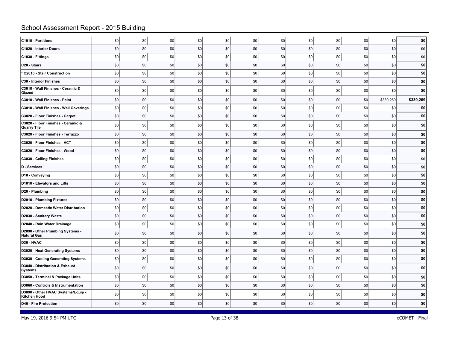# School Assessment Report - 2015 Building

| C1010 - Partitions                                 | \$0 | \$0 | \$0 | \$0 | \$0 | \$0 | \$0 | \$0 | \$0 | \$0 | \$0       | \$0       |
|----------------------------------------------------|-----|-----|-----|-----|-----|-----|-----|-----|-----|-----|-----------|-----------|
| C1020 - Interior Doors                             | \$0 | \$0 | \$0 | \$0 | \$0 | \$0 | \$0 | \$0 | \$0 | \$0 | \$0       | \$0       |
| C1030 - Fittings                                   | 30  | \$0 | \$0 | \$0 | \$0 | \$0 | \$0 | \$0 | \$0 | \$0 | \$0       | \$0       |
| C20 - Stairs                                       | \$0 | \$0 | \$0 | \$0 | \$0 | \$0 | \$0 | \$0 | \$0 | \$0 | \$0       | \$0       |
| * C2010 - Stair Construction                       | \$0 | \$0 | \$0 | \$0 | \$0 | \$0 | \$0 | \$0 | \$0 | \$0 | \$0       | \$0       |
| C30 - Interior Finishes                            | \$0 | \$0 | \$0 | \$0 | \$0 | \$0 | \$0 | \$0 | \$0 | \$0 | \$0       | \$0       |
| C3010 - Wall Finishes - Ceramic &<br>Glazed        | \$0 | 30  | \$0 | \$0 | \$0 | \$0 | \$0 | \$0 | \$0 | \$0 | \$0       | \$0       |
| C3010 - Wall Finishes - Paint                      | \$0 | \$0 | \$0 | \$0 | \$0 | \$0 | \$0 | \$0 | \$0 | \$0 | \$339,269 | \$339,269 |
| C3010 - Wall Finishes - Wall Coverings             | \$0 | \$0 | \$0 | \$0 | \$0 | \$0 | \$0 | \$0 | \$0 | \$0 | \$0       | \$0       |
| C3020 - Floor Finishes - Carpet                    | \$0 | \$0 | \$0 | \$0 | \$0 | \$0 | \$0 | \$0 | \$0 | \$0 | \$0       | \$0       |
| C3020 - Floor Finishes - Ceramic &<br>Quarry Tile  | \$0 | \$0 | \$0 | \$0 | \$0 | \$0 | \$0 | \$0 | \$0 | \$0 | \$0       | \$0       |
| C3020 - Floor Finishes - Terrazzo                  | \$0 | \$0 | \$0 | \$0 | \$0 | \$0 | \$0 | \$0 | \$0 | \$0 | \$0       | \$0       |
| C3020 - Floor Finishes - VCT                       | \$0 | \$0 | \$0 | \$0 | \$0 | \$0 | \$0 | \$0 | \$0 | \$0 | \$0       | \$0       |
| C3020 - Floor Finishes - Wood                      | \$0 | \$0 | \$0 | \$0 | \$0 | \$0 | \$0 | \$0 | \$0 | \$0 | \$0       | \$0       |
| C3030 - Ceiling Finishes                           | \$0 | 30  | \$0 | \$0 | \$0 | \$0 | \$0 | \$0 | \$0 | \$0 | \$0       | \$0       |
| D - Services                                       | \$0 | \$0 | \$0 | \$0 | \$0 | \$0 | \$0 | \$0 | \$0 | \$0 | \$0       | \$0       |
| D10 - Conveying                                    | \$0 | \$0 | \$0 | \$0 | \$0 | \$0 | \$0 | \$0 | \$0 | \$0 | \$0       | \$0       |
| D1010 - Elevators and Lifts                        | \$0 | \$0 | \$0 | \$0 | \$0 | \$0 | \$0 | \$0 | \$0 | \$0 | \$0       | \$0       |
| D20 - Plumbing                                     | \$0 | \$0 | \$0 | \$0 | \$0 | \$0 | \$0 | \$0 | \$0 | \$0 | \$0       | \$0       |
| D2010 - Plumbing Fixtures                          | \$0 | \$0 | \$0 | \$0 | \$0 | \$0 | \$0 | \$0 | \$0 | \$0 | \$0       | \$0       |
| D2020 - Domestic Water Distribution                | \$0 | 30  | \$0 | \$0 | \$0 | \$0 | \$0 | \$0 | \$0 | \$0 | \$0       | \$0       |
| D2030 - Sanitary Waste                             | \$0 | \$0 | \$0 | \$0 | \$0 | \$0 | \$0 | \$0 | \$0 | \$0 | \$0       | \$0       |
| D2040 - Rain Water Drainage                        | \$0 | \$0 | \$0 | \$0 | \$0 | \$0 | \$0 | \$0 | \$0 | \$0 | \$0       | \$0       |
| D2090 - Other Plumbing Systems -<br>Natural Gas    | \$0 | \$0 | \$0 | \$0 | \$0 | \$0 | \$0 | \$0 | \$0 | \$0 | \$0       | \$0       |
| D30 - HVAC                                         | \$0 | \$0 | \$0 | \$0 | \$0 | \$0 | \$0 | \$0 | \$0 | \$0 | \$0       | \$0       |
| D3020 - Heat Generating Systems                    | \$0 | \$0 | \$0 | \$0 | \$0 | \$0 | \$0 | \$0 | \$0 | \$0 | \$0       | \$0       |
| D3030 - Cooling Generating Systems                 | 30  | \$0 | \$0 | \$0 | \$0 | \$0 | \$0 | \$0 | \$0 | \$0 | \$0       | \$0       |
| D3040 - Distribution & Exhaust<br>Systems          | \$0 | \$0 | \$0 | \$0 | \$0 | \$0 | \$0 | \$0 | \$0 | \$0 | \$0       | \$0       |
| D3050 - Terminal & Package Units                   | \$0 | \$0 | \$0 | \$0 | \$0 | \$0 | \$0 | \$0 | \$0 | \$0 | \$0       | \$0       |
| D3060 - Controls & Instrumentation                 | \$0 | \$0 | \$0 | \$0 | \$0 | \$0 | \$0 | \$0 | \$0 | \$0 | \$0       | \$0       |
| D3090 - Other HVAC Systems/Equip -<br>Kitchen Hood | \$0 | \$0 | \$0 | \$0 | \$0 | \$0 | \$0 | \$0 | \$0 | \$0 | \$0       | \$0       |
| D40 - Fire Protection                              | \$0 | \$0 | \$0 | \$0 | \$0 | \$0 | \$0 | \$0 | \$0 | \$0 | \$0       | \$0       |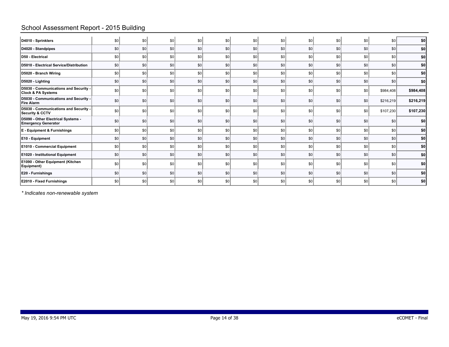## School Assessment Report - 2015 Building

| D4010 - Sprinklers                                                     | \$0 | \$0              | \$0 | \$0     | \$0 | \$0 | \$0  | \$0 | \$0 | 30              | \$C       | \$0       |
|------------------------------------------------------------------------|-----|------------------|-----|---------|-----|-----|------|-----|-----|-----------------|-----------|-----------|
| D4020 - Standpipes                                                     | \$0 | \$0              | \$0 | \$0     | \$0 | \$0 | \$0  | \$0 | \$0 | \$0             | \$0       | \$0       |
| D50 - Electrical                                                       | \$0 | $s$ <sub>0</sub> | \$0 | \$0     | \$0 | \$0 | \$0  | \$0 | \$0 | 30              | \$0       | \$0       |
| D5010 - Electrical Service/Distribution                                | \$0 | \$0              | \$0 | \$0     | \$0 | \$0 | \$0  | \$0 | \$0 | \$0             | \$0       | \$0       |
| D5020 - Branch Wiring                                                  | \$0 | $s$ <sub>0</sub> | \$0 | \$0     | \$0 | \$0 | -\$0 | \$0 | \$0 | 30              | \$0       | \$0       |
| D5020 - Lighting                                                       | \$0 | \$0              | \$0 | \$0     | \$0 | \$0 | \$0  | \$0 | \$0 | 30              | \$0       | \$0       |
| D5030 - Communications and Security -<br><b>Clock &amp; PA Systems</b> | \$0 | \$0              | \$0 | \$0     | \$0 | \$0 | \$0  | \$0 | \$0 | 30              | \$984,408 | \$984,408 |
| D5030 - Communications and Security -<br><b>Fire Alarm</b>             | \$0 | \$0              | \$0 | \$0     | \$0 | \$0 | \$0  | \$0 | \$0 | \$0             | \$216,219 | \$216,219 |
| D5030 - Communications and Security -<br>Security & CCTV               | \$0 | $s$ <sub>0</sub> | \$0 | \$0     | \$0 | \$0 | \$0  | \$0 | \$0 | 30              | \$107,230 | \$107,230 |
| D5090 - Other Electrical Systems -<br><b>Emergency Generator</b>       | \$0 | \$0              | \$0 | \$0     | \$0 | \$0 | \$0  | \$0 | \$0 | \$0             | \$0       | \$0       |
| E - Equipment & Furnishings                                            | \$0 | sol              | \$0 | \$0     | sol | \$0 | \$0  | \$0 | \$0 | SO <sub>1</sub> | \$0       | \$0       |
| E10 - Equipment                                                        | \$0 | \$0              | \$0 | \$0     | \$0 | \$0 | \$0  | \$0 | \$0 | \$0             | \$0       | \$0       |
| E1010 - Commercial Equipment                                           | sol | $s$ <sub>0</sub> | \$0 | $ $ \$0 | \$0 | \$0 | \$0  | \$0 | \$0 | 30              | \$0       | \$0       |
| E1020 - Institutional Equipment                                        | \$0 | \$0              | \$0 | \$0     | \$0 | \$0 | \$0  | \$0 | \$0 | \$0             | \$0       | \$0       |
| E1090 - Other Equipment (Kitchen<br>Equipment)                         | \$0 | $s$ <sub>0</sub> | \$0 | \$0     | \$0 | \$0 | \$0  | \$0 | \$0 | 30              | \$0       | \$0       |
| E20 - Furnishings                                                      | \$0 | \$0              | \$0 | \$0     | \$0 | \$0 | \$0  | \$0 | \$0 | 30              | \$0       | \$0       |
| E2010 - Fixed Furnishings                                              | \$0 | \$0              | \$0 | \$0     | \$0 | \$0 | \$0  | \$0 | \$0 | 30              | \$0       | \$0]      |

*\* Indicates non-renewable system*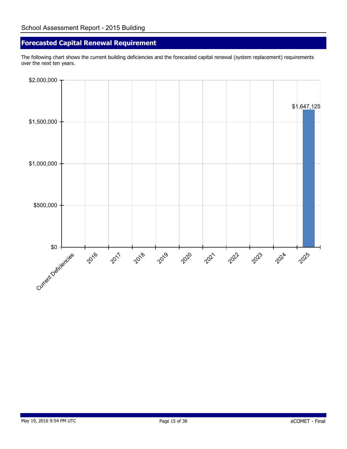## **Forecasted Capital Renewal Requirement**

The following chart shows the current building deficiencies and the forecasted capital renewal (system replacement) requirements over the next ten years.

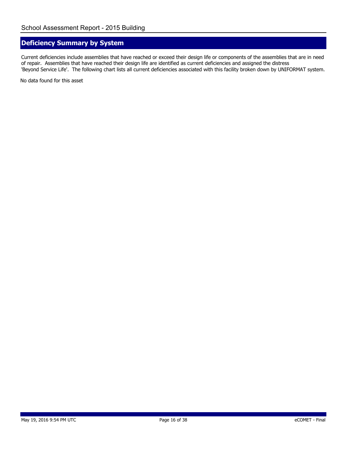## **Deficiency Summary by System**

Current deficiencies include assemblies that have reached or exceed their design life or components of the assemblies that are in need of repair. Assemblies that have reached their design life are identified as current deficiencies and assigned the distress 'Beyond Service Life'. The following chart lists all current deficiencies associated with this facility broken down by UNIFORMAT system.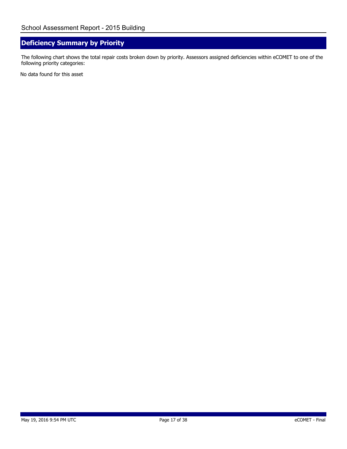## **Deficiency Summary by Priority**

The following chart shows the total repair costs broken down by priority. Assessors assigned deficiencies within eCOMET to one of the following priority categories: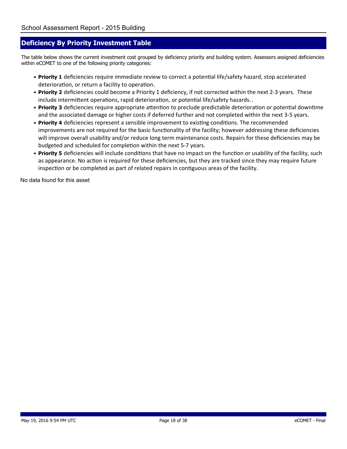#### **Deficiency By Priority Investment Table**

The table below shows the current investment cost grouped by deficiency priority and building system. Assessors assigned deficiencies within eCOMET to one of the following priority categories:

- Priority 1 deficiencies require immediate review to correct a potential life/safety hazard, stop accelerated deterioration, or return a facility to operation.
- Priority 2 deficiencies could become a Priority 1 deficiency, if not corrected within the next 2-3 years. These include intermittent operations, rapid deterioration, or potential life/safety hazards..
- Priority 3 deficiencies require appropriate attention to preclude predictable deterioration or potential downtime and the associated damage or higher costs if deferred further and not completed within the next 3-5 years.
- Priority 4 deficiencies represent a sensible improvement to existing conditions. The recommended improvements are not required for the basic functionality of the facility; however addressing these deficiencies will improve overall usability and/or reduce long term maintenance costs. Repairs for these deficiencies may be budgeted and scheduled for completion within the next 5-7 years.
- Priority 5 deficiencies will include conditions that have no impact on the function or usability of the facility, such as appearance. No action is required for these deficiencies, but they are tracked since they may require future inspection or be completed as part of related repairs in contiguous areas of the facility.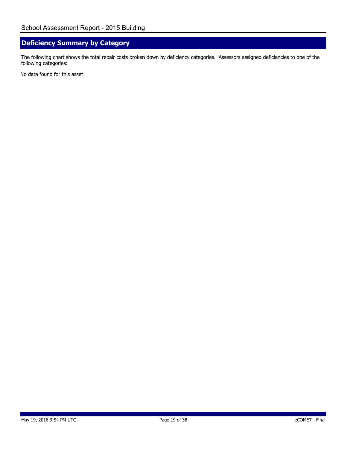## **Deficiency Summary by Category**

The following chart shows the total repair costs broken down by deficiency categories. Assessors assigned deficiencies to one of the following categories: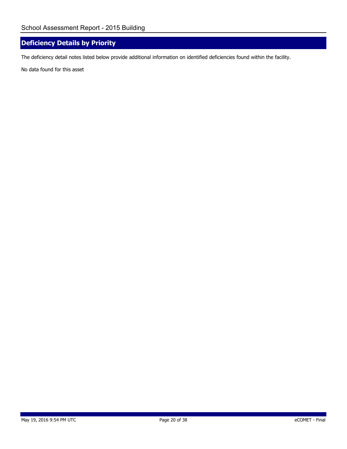## **Deficiency Details by Priority**

The deficiency detail notes listed below provide additional information on identified deficiencies found within the facility.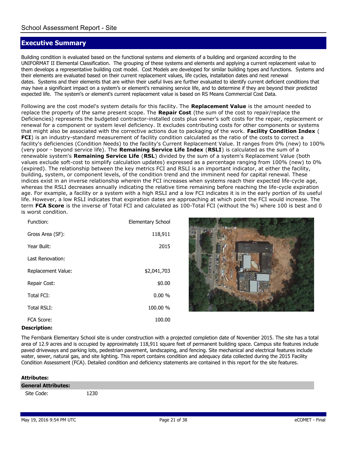## **Executive Summary**

Building condition is evaluated based on the functional systems and elements of a building and organized according to the UNIFORMAT II Elemental Classification. The grouping of these systems and elements and applying a current replacement value to them develops a representative building cost model. Cost Models are developed for similar building types and functions. Systems and their elements are evaluated based on their current replacement values, life cycles, installation dates and next renewal dates. Systems and their elements that are within their useful lives are further evaluated to identify current deficient conditions that may have a significant impact on a system's or element's remaining service life, and to determine if they are beyond their predicted expected life. The system's or element's current replacement value is based on RS Means Commercial Cost Data.

Following are the cost model's system details for this facility. The **Replacement Value** is the amount needed to replace the property of the same present scope. The **Repair Cost** (the sum of the cost to repair/replace the Deficiencies) represents the budgeted contractor-installed costs plus owner's soft costs for the repair, replacement or renewal for a component or system level deficiency. It excludes contributing costs for other components or systems that might also be associated with the corrective actions due to packaging of the work. **Facility Condition Index** ( **FCI**) is an industry-standard measurement of facility condition calculated as the ratio of the costs to correct a facility's deficiencies (Condition Needs) to the facility's Current Replacement Value. It ranges from 0% (new) to 100% (very poor - beyond service life). The **Remaining Service Life Index** (**RSLI**) is calculated as the sum of a renewable system's **Remaining Service Life** (**RSL**) divided by the sum of a system's Replacement Value (both values exclude soft-cost to simplify calculation updates) expressed as a percentage ranging from 100% (new) to 0% (expired). The relationship between the key metrics FCI and RSLI is an important indicator, at either the facility, building, system, or component levels, of the condition trend and the imminent need for capital renewal. These indices exist in an inverse relationship wherein the FCI increases when systems reach their expected life-cycle age, whereas the RSLI decreases annually indicating the relative time remaining before reaching the life-cycle expiration age. For example, a facility or a system with a high RSLI and a low FCI indicates it is in the early portion of its useful life. However, a low RSLI indicates that expiration dates are approaching at which point the FCI would increase. The term **FCA Score** is the inverse of Total FCI and calculated as 100-Total FCI (without the %) where 100 is best and 0 is worst condition.

| Function:          | Elementary School |
|--------------------|-------------------|
| Gross Area (SF):   | 118,911           |
| Year Built:        | 2015              |
| Last Renovation:   |                   |
| Replacement Value: | \$2,041,703       |
| Repair Cost:       | \$0.00            |
| Total FCI:         | 0.00%             |
| Total RSLI:        | 100.00 %          |
| FCA Score:         | 100.00            |



#### **Description:**

The Fernbank Elementary School site is under construction with a projected completion date of November 2015. The site has a total area of 12.9 acres and is occupied by approximately 118,911 square feet of permanent building space. Campus site features include paved driveways and parking lots, pedestrian pavement, landscaping, and fencing. Site mechanical and electrical features include water, sewer, natural gas, and site lighting. This report contains condition and adequacy data collected during the 2015 Facility Condition Assessment (FCA). Detailed condition and deficiency statements are contained in this report for the site features.

| <b>Attributes:</b>         |      |
|----------------------------|------|
| <b>General Attributes:</b> |      |
| Site Code:                 | 1230 |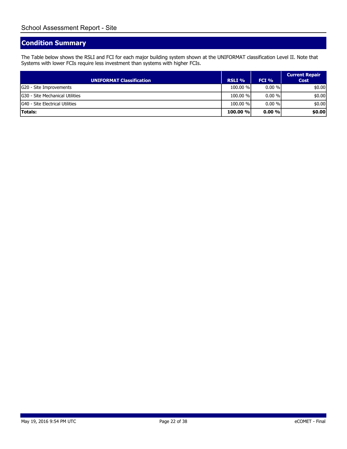## **Condition Summary**

The Table below shows the RSLI and FCI for each major building system shown at the UNIFORMAT classification Level II. Note that Systems with lower FCIs require less investment than systems with higher FCIs.

| UNIFORMAT Classification         | RSLI %   | $FCI\%$   | <b>Current Repair</b><br><b>Cost</b> |
|----------------------------------|----------|-----------|--------------------------------------|
| G20 - Site Improvements          | 100.00 % | $0.00 \%$ | \$0.00                               |
| IG30 - Site Mechanical Utilities | 100.00 % | $0.00 \%$ | \$0.00                               |
| G40 - Site Electrical Utilities  | 100.00 % | $0.00 \%$ | \$0.00                               |
| <b>Totals:</b>                   | 100.00 % | $0.00\%$  | \$0.00                               |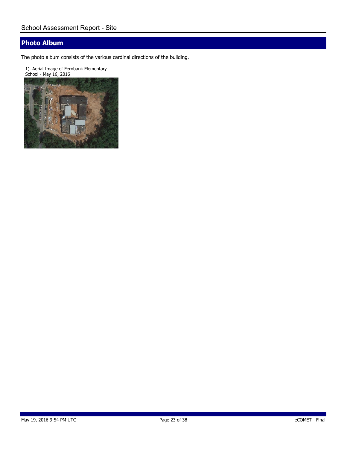## **Photo Album**

The photo album consists of the various cardinal directions of the building.

1). Aerial Image of Fernbank Elementary School - May 16, 2016

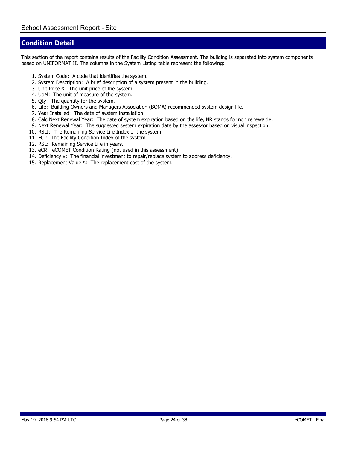#### **Condition Detail**

This section of the report contains results of the Facility Condition Assessment. The building is separated into system components based on UNIFORMAT II. The columns in the System Listing table represent the following:

- 1. System Code: A code that identifies the system.
- 2. System Description: A brief description of a system present in the building.
- 3. Unit Price \$: The unit price of the system.
- 4. UoM: The unit of measure of the system.
- 5. Qty: The quantity for the system.
- 6. Life: Building Owners and Managers Association (BOMA) recommended system design life.
- 7. Year Installed: The date of system installation.
- 8. Calc Next Renewal Year: The date of system expiration based on the life, NR stands for non renewable.
- 9. Next Renewal Year: The suggested system expiration date by the assessor based on visual inspection.
- 10. RSLI: The Remaining Service Life Index of the system.
- 11. FCI: The Facility Condition Index of the system.
- 12. RSL: Remaining Service Life in years.
- 13. eCR: eCOMET Condition Rating (*not used in this assessment*).
- 14. Deficiency \$: The financial investment to repair/replace system to address deficiency.
- 15. Replacement Value \$: The replacement cost of the system.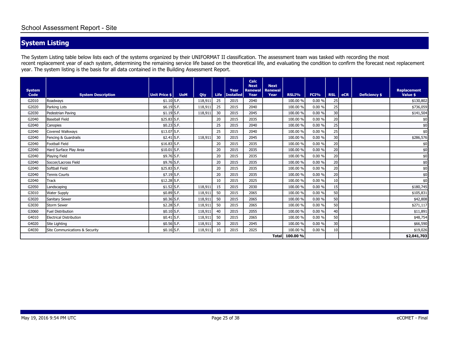# **System Listing**

The System Listing table below lists each of the systems organized by their UNIFORMAT II classification. The assessment team was tasked with recording the most recent replacement year of each system, determining the remaining service life based on the theoretical life, and evaluating the condition to confirm the forecast next replacement year. The system listing is the basis for all data contained in the Building Assessment Report.

|                       |                                |                      |            |         |             |                          | Calc<br><b>Next</b>    | <b>Next</b>            |          |             |            |            |                      |                         |
|-----------------------|--------------------------------|----------------------|------------|---------|-------------|--------------------------|------------------------|------------------------|----------|-------------|------------|------------|----------------------|-------------------------|
| <b>System</b><br>Code | <b>System Description</b>      | <b>Unit Price \$</b> | <b>UoM</b> | Qty     | <b>Life</b> | Year<br><b>Installed</b> | <b>Renewal</b><br>Year | <b>Renewal</b><br>Year | RSLI%    | <b>FCI%</b> | <b>RSL</b> | <b>eCR</b> | <b>Deficiency \$</b> | Replacement<br>Value \$ |
| G2010                 | Roadways                       | $$1.10$ S.F.         |            | 118,911 | 25          | 2015                     | 2040                   |                        | 100.00 % | 0.00%       | 25         |            |                      | \$130,802               |
| G2020                 | Parking Lots                   | $$6.19$ S.F.         |            | 118,911 | 25          | 2015                     | 2040                   |                        | 100.00 % | 0.00%       | 25         |            |                      | \$736,059               |
| G2030                 | Pedestrian Paving              | $$1.19$ S.F.         |            | 118,911 | 30          | 2015                     | 2045                   |                        | 100.00 % | 0.00%       | 30         |            |                      | \$141,504               |
| G2040                 | <b>Baseball Field</b>          | $$25.83$ S.F.        |            |         | 20          | 2015                     | 2035                   |                        | 100.00 % | 0.00%       | 20         |            |                      | \$0                     |
| G2040                 | Canopies                       | $$0.23$ S.F.         |            |         | 25          | 2015                     | 2040                   |                        | 100.00 % | 0.00%       | 25         |            |                      | \$0                     |
| G2040                 | Covered Walkways               | $$13.07$ S.F.        |            |         | 25          | 2015                     | 2040                   |                        | 100.00 % | 0.00%       | 25         |            |                      | \$0                     |
| G2040                 | Fencing & Guardrails           | $$2.41$ S.F.         |            | 118,911 | 30          | 2015                     | 2045                   |                        | 100.00 % | 0.00%       | 30         |            |                      | \$286,576               |
| G2040                 | <b>Football Field</b>          | $$16.83$ S.F.        |            |         | 20          | 2015                     | 2035                   |                        | 100.00 % | 0.00%       | 20         |            |                      | \$0                     |
| G2040                 | Hard Surface Play Area         | $$10.01$ S.F.        |            |         | 20          | 2015                     | 2035                   |                        | 100.00 % | 0.00%       | 20         |            |                      | \$0                     |
| G2040                 | Playing Field                  | \$9.76 S.F.          |            |         | 20          | 2015                     | 2035                   |                        | 100.00 % | 0.00%       | 20         |            |                      | \$0                     |
| G2040                 | Soccer/Lacross Field           | \$9.76 S.F.          |            |         | 20          | 2015                     | 2035                   |                        | 100.00 % | 0.00%       | 20         |            |                      | \$0                     |
| G2040                 | Softball Field                 | $$25.83$ S.F.        |            |         | 20          | 2015                     | 2035                   |                        | 100.00 % | 0.00%       | 20         |            |                      | $$0$$                   |
| G2040                 | <b>Tennis Courts</b>           | $$7.19$ S.F.         |            |         | 20          | 2015                     | 2035                   |                        | 100.00 % | 0.00%       | 20         |            |                      | $$0$$                   |
| G2040                 | Track                          | $$12.28$ S.F.        |            |         | 10          | 2015                     | 2025                   |                        | 100.00 % | 0.00%       | 10         |            |                      | \$0                     |
| G2050                 | Landscaping                    | $$1.52$ S.F.         |            | 118,911 | 15          | 2015                     | 2030                   |                        | 100.00 % | 0.00%       | 15         |            |                      | \$180,745               |
| G3010                 | <b>Water Supply</b>            | $$0.89$ S.F.         |            | 118,911 | 50          | 2015                     | 2065                   |                        | 100.00 % | 0.00%       | 50         |            |                      | \$105,831               |
| G3020                 | Sanitary Sewer                 | $$0.36$ S.F.         |            | 118,911 | 50          | 2015                     | 2065                   |                        | 100.00 % | 0.00%       | 50         |            |                      | \$42,808                |
| G3030                 | <b>Storm Sewer</b>             | $$2.28$ S.F.         |            | 118,911 | 50          | 2015                     | 2065                   |                        | 100.00 % | 0.00%       | 50         |            |                      | \$271,117               |
| G3060                 | <b>Fuel Distribution</b>       | $$0.10$ S.F.         |            | 118,911 | 40          | 2015                     | 2055                   |                        | 100.00 % | 0.00%       | 40         |            |                      | \$11,891                |
| G4010                 | <b>Electrical Distribution</b> | $$0.41$ S.F.         |            | 118,911 | 50          | 2015                     | 2065                   |                        | 100.00 % | 0.00%       | 50         |            |                      | \$48,754                |
| G4020                 | Site Lighting                  | $$0.56$ S.F.         |            | 118,911 | 30          | 2015                     | 2045                   |                        | 100.00 % | 0.00%       | 30         |            |                      | \$66,590                |
| G4030                 | Site Communications & Security | $$0.16$ S.F.         |            | 118,911 | 10          | 2015                     | 2025                   |                        | 100.00 % | $0.00 \%$   | 10         |            |                      | \$19,026                |
|                       |                                |                      |            |         |             |                          |                        | <b>Total</b>           | 100.00 % |             |            |            |                      | \$2,041,703             |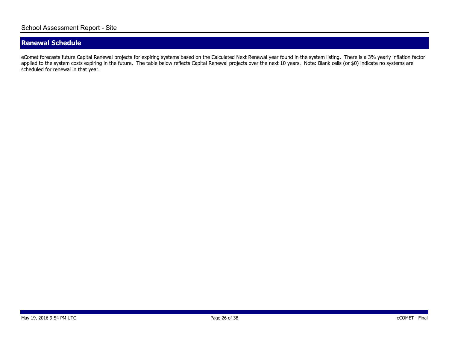## **Renewal Schedule**

eComet forecasts future Capital Renewal projects for expiring systems based on the Calculated Next Renewal year found in the system listing. There is a 3% yearly inflation factor applied to the system costs expiring in the future. The table below reflects Capital Renewal projects over the next 10 years. Note: Blank cells (or \$0) indicate no systems are scheduled for renewal in that year.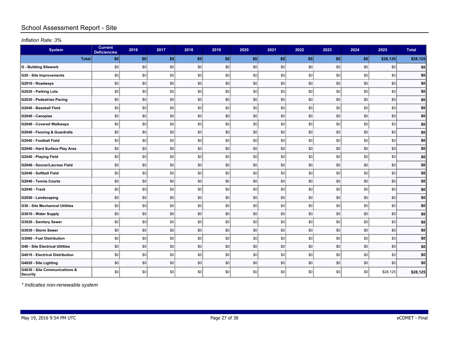## School Assessment Report - Site

*Inflation Rate: 3%*

| <b>System</b>                                    | <b>Current</b><br><b>Deficiencies</b> | 2016 | 2017    | 2018 | 2019 | 2020 | 2021 | 2022 | 2023 | 2024 | 2025     | <b>Total</b> |
|--------------------------------------------------|---------------------------------------|------|---------|------|------|------|------|------|------|------|----------|--------------|
| Total:                                           | \$0                                   | \$0  | \$0     | \$0  | \$0  | \$0  | \$0  | \$0  | \$0  | \$0  | \$28,125 | \$28,125     |
| <b>G</b> - Building Sitework                     | \$0                                   | \$0  | \$0     | \$0  | \$0  | \$0  | \$0  | \$0  | \$0  | \$0  | \$0      | \$0          |
| <b>G20 - Site Improvements</b>                   | \$0                                   | \$0  | $ $ \$0 | \$0  | \$0  | \$0  | \$0  | \$0  | \$0  | \$0  | \$0      | \$0          |
| G2010 - Roadways                                 | \$0                                   | \$0  | \$0     | \$0  | \$0  | \$0  | \$0  | \$0  | \$0  | \$0  | \$0      | \$0          |
| G2020 - Parking Lots                             | \$0                                   | \$0  | \$0     | \$0  | \$0  | \$0  | \$0  | \$0  | \$0  | \$0  | \$0      | \$0]         |
| G2030 - Pedestrian Paving                        | \$0                                   | \$0  | \$0     | \$0  | \$0  | \$0  | \$0  | \$0  | \$0  | \$0  | \$0      | \$0          |
| G2040 - Baseball Field                           | \$0                                   | \$0  | \$0     | \$0  | \$0  | \$0  | \$0  | \$0  | \$0  | \$0  | \$0      | \$0          |
| G2040 - Canopies                                 | \$0                                   | \$0  | \$0     | \$0  | \$0  | \$0  | \$0  | \$0  | \$0  | \$0  | \$0      | \$0]         |
| G2040 - Covered Walkways                         | \$0                                   | \$0  | \$0     | \$0  | \$0  | \$0  | \$0  | \$0  | \$0  | \$0  | \$0      | \$0          |
| G2040 - Fencing & Guardrails                     | \$0                                   | \$0  | \$0     | \$0  | \$0  | \$0  | \$0  | \$0  | \$0  | \$0  | \$0      | \$0          |
| G2040 - Football Field                           | \$0                                   | \$0  | \$0     | \$0  | \$0  | \$0  | \$0  | \$0  | \$0  | \$0  | \$0      | \$0          |
| G2040 - Hard Surface Play Area                   | \$0                                   | \$0  | \$0     | \$0  | \$0  | \$0  | \$0  | \$0  | \$0  | \$0  | \$0      | \$0          |
| G2040 - Playing Field                            | \$0                                   | \$0  | \$0     | \$0  | \$0  | \$0  | \$0  | \$0  | \$0  | \$0  | \$0      | \$0]         |
| G2040 - Soccer/Lacross Field                     | \$0                                   | \$0  | \$0     | \$0  | \$0  | \$0  | \$0  | \$0  | \$0  | \$0  | \$0      | \$0          |
| G2040 - Softball Field                           | \$0                                   | \$0  | \$0     | \$0  | \$0  | \$0  | \$0  | \$0  | \$0  | \$0  | \$0      | \$0]         |
| G2040 - Tennis Courts                            | \$0                                   | \$0  | \$0     | \$0  | \$0  | \$0  | \$0  | \$0  | \$0  | \$0  | \$0      | \$0]         |
| G2040 - Track                                    | \$0                                   | \$0  | $ $ \$0 | \$0  | \$0  | \$0  | \$0  | \$0  | \$0  | \$0  | \$0      | \$0          |
| G2050 - Landscaping                              | \$0                                   | \$0  | \$0     | \$0  | \$0  | \$0  | \$0  | \$0  | \$0  | \$0  | \$0      | \$0          |
| <b>G30 - Site Mechanical Utilities</b>           | \$0                                   | \$0  | $ $ \$0 | \$0  | \$0  | \$0  | \$0  | \$0  | \$0  | \$0  | \$0      | \$0          |
| G3010 - Water Supply                             | \$0                                   | \$0  | \$0     | \$0  | \$0  | \$0  | \$0  | \$0  | \$0  | \$0  | \$0      | \$0]         |
| G3020 - Sanitary Sewer                           | \$0                                   | \$0  | \$0     | \$0  | \$0  | \$0  | \$0  | \$0  | \$0  | \$0  | \$0      | \$0          |
| G3030 - Storm Sewer                              | \$0                                   | \$0  | \$0     | \$0  | \$0  | \$0  | \$0  | \$0  | \$0  | \$0  | \$0      | \$0          |
| G3060 - Fuel Distribution                        | \$0                                   | \$0  | \$0     | \$0  | \$0  | \$0  | \$0  | \$0  | \$0  | \$0  | \$0      | \$0          |
| <b>G40 - Site Electrical Utilities</b>           | \$0                                   | \$0  | \$0     | \$0  | \$0  | \$0  | \$0  | \$0  | \$0  | \$0  | \$0      | \$0          |
| G4010 - Electrical Distribution                  | \$0                                   | \$0  | \$0     | \$0  | \$0  | \$0  | \$0  | \$0  | \$0  | \$0  | \$0      | \$0]         |
| G4020 - Site Lighting                            | \$0                                   | \$0  | \$0     | \$0  | \$0  | \$0  | \$0  | \$0  | \$0  | \$0  | \$0      | \$0          |
| G4030 - Site Communications &<br><b>Security</b> | \$0                                   | \$0  | \$0     | \$0  | \$0  | \$0  | \$0  | \$0  | \$0  | \$0  | \$28,125 | \$28,125     |

*\* Indicates non-renewable system*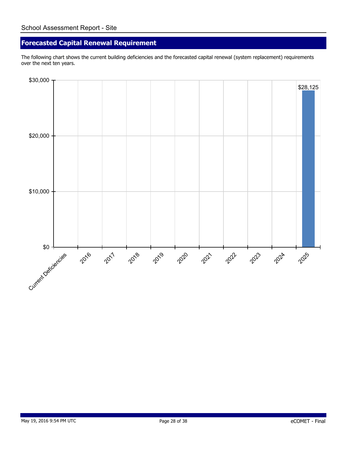## **Forecasted Capital Renewal Requirement**

The following chart shows the current building deficiencies and the forecasted capital renewal (system replacement) requirements over the next ten years.

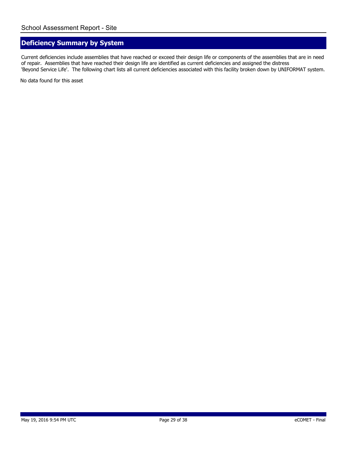## **Deficiency Summary by System**

Current deficiencies include assemblies that have reached or exceed their design life or components of the assemblies that are in need of repair. Assemblies that have reached their design life are identified as current deficiencies and assigned the distress 'Beyond Service Life'. The following chart lists all current deficiencies associated with this facility broken down by UNIFORMAT system.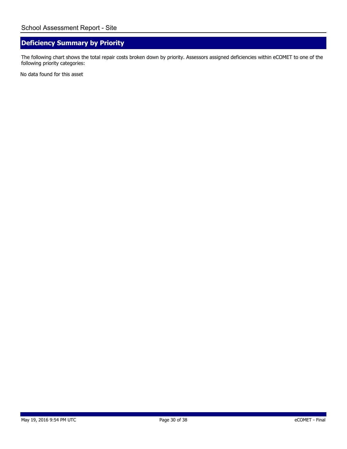## **Deficiency Summary by Priority**

The following chart shows the total repair costs broken down by priority. Assessors assigned deficiencies within eCOMET to one of the following priority categories: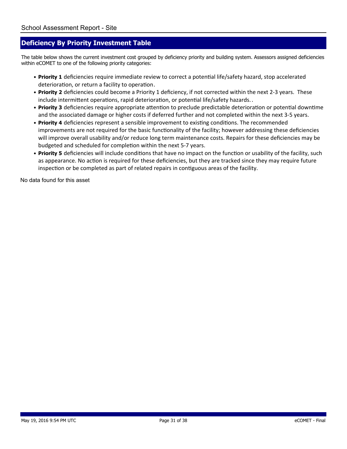#### **Deficiency By Priority Investment Table**

The table below shows the current investment cost grouped by deficiency priority and building system. Assessors assigned deficiencies within eCOMET to one of the following priority categories:

- Priority 1 deficiencies require immediate review to correct a potential life/safety hazard, stop accelerated deterioration, or return a facility to operation.
- Priority 2 deficiencies could become a Priority 1 deficiency, if not corrected within the next 2-3 years. These include intermittent operations, rapid deterioration, or potential life/safety hazards..
- Priority 3 deficiencies require appropriate attention to preclude predictable deterioration or potential downtime and the associated damage or higher costs if deferred further and not completed within the next 3-5 years.
- Priority 4 deficiencies represent a sensible improvement to existing conditions. The recommended improvements are not required for the basic functionality of the facility; however addressing these deficiencies will improve overall usability and/or reduce long term maintenance costs. Repairs for these deficiencies may be budgeted and scheduled for completion within the next 5-7 years.
- Priority 5 deficiencies will include conditions that have no impact on the function or usability of the facility, such as appearance. No action is required for these deficiencies, but they are tracked since they may require future inspection or be completed as part of related repairs in contiguous areas of the facility.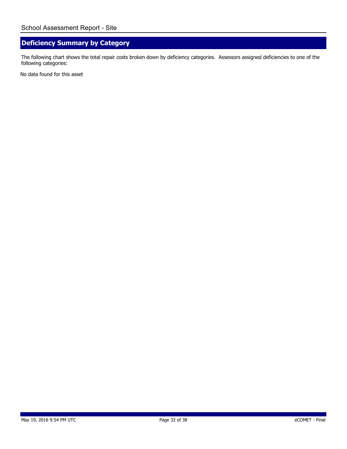## **Deficiency Summary by Category**

The following chart shows the total repair costs broken down by deficiency categories. Assessors assigned deficiencies to one of the following categories: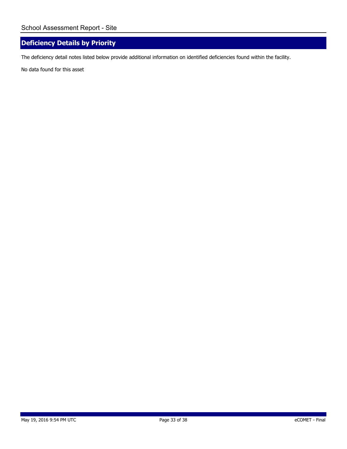## **Deficiency Details by Priority**

The deficiency detail notes listed below provide additional information on identified deficiencies found within the facility.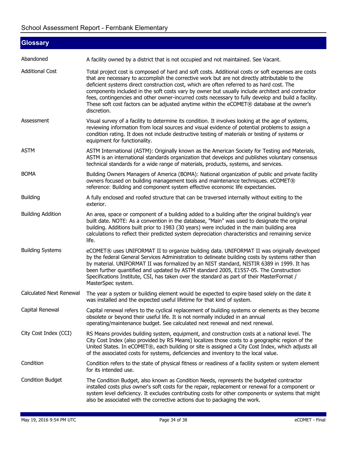| <b>Glossary</b>          |                                                                                                                                                                                                                                                                                                                                                                                                                                                                                                                                                                                                                          |
|--------------------------|--------------------------------------------------------------------------------------------------------------------------------------------------------------------------------------------------------------------------------------------------------------------------------------------------------------------------------------------------------------------------------------------------------------------------------------------------------------------------------------------------------------------------------------------------------------------------------------------------------------------------|
| Abandoned                | A facility owned by a district that is not occupied and not maintained. See Vacant.                                                                                                                                                                                                                                                                                                                                                                                                                                                                                                                                      |
| <b>Additional Cost</b>   | Total project cost is composed of hard and soft costs. Additional costs or soft expenses are costs<br>that are necessary to accomplish the corrective work but are not directly attributable to the<br>deficient systems direct construction cost, which are often referred to as hard cost. The<br>components included in the soft costs vary by owner but usually include architect and contractor<br>fees, contingencies and other owner-incurred costs necessary to fully develop and build a facility.<br>These soft cost factors can be adjusted anytime within the eCOMET® database at the owner's<br>discretion. |
| Assessment               | Visual survey of a facility to determine its condition. It involves looking at the age of systems,<br>reviewing information from local sources and visual evidence of potential problems to assign a<br>condition rating. It does not include destructive testing of materials or testing of systems or<br>equipment for functionality.                                                                                                                                                                                                                                                                                  |
| <b>ASTM</b>              | ASTM International (ASTM): Originally known as the American Society for Testing and Materials,<br>ASTM is an international standards organization that develops and publishes voluntary consensus<br>technical standards for a wide range of materials, products, systems, and services.                                                                                                                                                                                                                                                                                                                                 |
| <b>BOMA</b>              | Building Owners Managers of America (BOMA): National organization of public and private facility<br>owners focused on building management tools and maintenance techniques. eCOMET®<br>reference: Building and component system effective economic life expectancies.                                                                                                                                                                                                                                                                                                                                                    |
| <b>Building</b>          | A fully enclosed and roofed structure that can be traversed internally without exiting to the<br>exterior.                                                                                                                                                                                                                                                                                                                                                                                                                                                                                                               |
| <b>Building Addition</b> | An area, space or component of a building added to a building after the original building's year<br>built date. NOTE: As a convention in the database, "Main" was used to designate the original<br>building. Additions built prior to 1983 (30 years) were included in the main building area<br>calculations to reflect their predicted system depreciation characteristics and remaining service<br>life.                                                                                                                                                                                                             |
| <b>Building Systems</b>  | eCOMET® uses UNIFORMAT II to organize building data. UNIFORMAT II was originally developed<br>by the federal General Services Administration to delineate building costs by systems rather than<br>by material. UNIFORMAT II was formalized by an NIST standard, NISTIR 6389 in 1999. It has<br>been further quantified and updated by ASTM standard 2005, E1557-05. The Construction<br>Specifications Institute, CSI, has taken over the standard as part of their MasterFormat /<br>MasterSpec system.                                                                                                                |
| Calculated Next Renewal  | The year a system or building element would be expected to expire based solely on the date it<br>was installed and the expected useful lifetime for that kind of system.                                                                                                                                                                                                                                                                                                                                                                                                                                                 |
| Capital Renewal          | Capital renewal refers to the cyclical replacement of building systems or elements as they become<br>obsolete or beyond their useful life. It is not normally included in an annual<br>operating/maintenance budget. See calculated next renewal and next renewal.                                                                                                                                                                                                                                                                                                                                                       |
| City Cost Index (CCI)    | RS Means provides building system, equipment, and construction costs at a national level. The<br>City Cost Index (also provided by RS Means) localizes those costs to a geographic region of the<br>United States. In eCOMET®, each building or site is assigned a City Cost Index, which adjusts all<br>of the associated costs for systems, deficiencies and inventory to the local value.                                                                                                                                                                                                                             |
| Condition                | Condition refers to the state of physical fitness or readiness of a facility system or system element<br>for its intended use.                                                                                                                                                                                                                                                                                                                                                                                                                                                                                           |
| <b>Condition Budget</b>  | The Condition Budget, also known as Condition Needs, represents the budgeted contractor<br>installed costs plus owner's soft costs for the repair, replacement or renewal for a component or<br>system level deficiency. It excludes contributing costs for other components or systems that might<br>also be associated with the corrective actions due to packaging the work.                                                                                                                                                                                                                                          |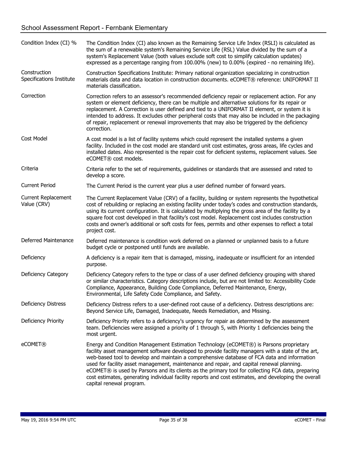| Condition Index (CI) %                    | The Condition Index (CI) also known as the Remaining Service Life Index (RSLI) is calculated as<br>the sum of a renewable system's Remaining Service Life (RSL) Value divided by the sum of a<br>system's Replacement Value (both values exclude soft cost to simplify calculation updates)<br>expressed as a percentage ranging from 100.00% (new) to 0.00% (expired - no remaining life).                                                                                                                                                                                                                                        |
|-------------------------------------------|------------------------------------------------------------------------------------------------------------------------------------------------------------------------------------------------------------------------------------------------------------------------------------------------------------------------------------------------------------------------------------------------------------------------------------------------------------------------------------------------------------------------------------------------------------------------------------------------------------------------------------|
| Construction<br>Specifications Institute  | Construction Specifications Institute: Primary national organization specializing in construction<br>materials data and data location in construction documents. eCOMET® reference: UNIFORMAT II<br>materials classification.                                                                                                                                                                                                                                                                                                                                                                                                      |
| Correction                                | Correction refers to an assessor's recommended deficiency repair or replacement action. For any<br>system or element deficiency, there can be multiple and alternative solutions for its repair or<br>replacement. A Correction is user defined and tied to a UNIFORMAT II element, or system it is<br>intended to address. It excludes other peripheral costs that may also be included in the packaging<br>of repair, replacement or renewal improvements that may also be triggered by the deficiency<br>correction.                                                                                                            |
| Cost Model                                | A cost model is a list of facility systems which could represent the installed systems a given<br>facility. Included in the cost model are standard unit cost estimates, gross areas, life cycles and<br>installed dates. Also represented is the repair cost for deficient systems, replacement values. See<br>eCOMET® cost models.                                                                                                                                                                                                                                                                                               |
| Criteria                                  | Criteria refer to the set of requirements, guidelines or standards that are assessed and rated to<br>develop a score.                                                                                                                                                                                                                                                                                                                                                                                                                                                                                                              |
| <b>Current Period</b>                     | The Current Period is the current year plus a user defined number of forward years.                                                                                                                                                                                                                                                                                                                                                                                                                                                                                                                                                |
| <b>Current Replacement</b><br>Value (CRV) | The Current Replacement Value (CRV) of a facility, building or system represents the hypothetical<br>cost of rebuilding or replacing an existing facility under today's codes and construction standards,<br>using its current configuration. It is calculated by multiplying the gross area of the facility by a<br>square foot cost developed in that facility's cost model. Replacement cost includes construction<br>costs and owner's additional or soft costs for fees, permits and other expenses to reflect a total<br>project cost.                                                                                       |
| Deferred Maintenance                      | Deferred maintenance is condition work deferred on a planned or unplanned basis to a future<br>budget cycle or postponed until funds are available.                                                                                                                                                                                                                                                                                                                                                                                                                                                                                |
| Deficiency                                | A deficiency is a repair item that is damaged, missing, inadequate or insufficient for an intended<br>purpose.                                                                                                                                                                                                                                                                                                                                                                                                                                                                                                                     |
| <b>Deficiency Category</b>                | Deficiency Category refers to the type or class of a user defined deficiency grouping with shared<br>or similar characteristics. Category descriptions include, but are not limited to: Accessibility Code<br>Compliance, Appearance, Building Code Compliance, Deferred Maintenance, Energy,<br>Environmental, Life Safety Code Compliance, and Safety.                                                                                                                                                                                                                                                                           |
| <b>Deficiency Distress</b>                | Deficiency Distress refers to a user-defined root cause of a deficiency. Distress descriptions are:<br>Beyond Service Life, Damaged, Inadequate, Needs Remediation, and Missing.                                                                                                                                                                                                                                                                                                                                                                                                                                                   |
| <b>Deficiency Priority</b>                | Deficiency Priority refers to a deficiency's urgency for repair as determined by the assessment<br>team. Deficiencies were assigned a priority of 1 through 5, with Priority 1 deficiencies being the<br>most urgent.                                                                                                                                                                                                                                                                                                                                                                                                              |
| eCOMET <sup>®</sup>                       | Energy and Condition Management Estimation Technology (eCOMET®) is Parsons proprietary<br>facility asset management software developed to provide facility managers with a state of the art,<br>web-based tool to develop and maintain a comprehensive database of FCA data and information<br>used for facility asset management, maintenance and repair, and capital renewal planning.<br>eCOMET® is used by Parsons and its clients as the primary tool for collecting FCA data, preparing<br>cost estimates, generating individual facility reports and cost estimates, and developing the overall<br>capital renewal program. |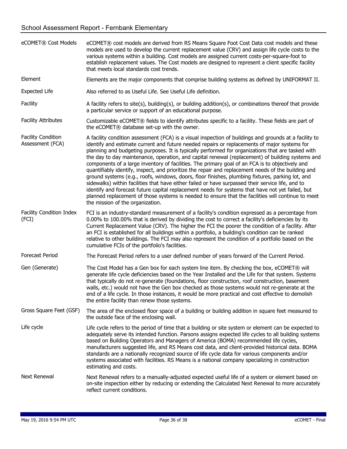| eCOMET® Cost Models                           | eCOMET® cost models are derived from RS Means Square Foot Cost Data cost models and these<br>models are used to develop the current replacement value (CRV) and assign life cycle costs to the<br>various systems within a building. Cost models are assigned current costs-per-square-foot to<br>establish replacement values. The Cost models are designed to represent a client specific facility<br>that meets local standards cost trends.                                                                                                                                                                                                                                                                                                                                                                                                                                                                                                                                                                                                                                  |
|-----------------------------------------------|----------------------------------------------------------------------------------------------------------------------------------------------------------------------------------------------------------------------------------------------------------------------------------------------------------------------------------------------------------------------------------------------------------------------------------------------------------------------------------------------------------------------------------------------------------------------------------------------------------------------------------------------------------------------------------------------------------------------------------------------------------------------------------------------------------------------------------------------------------------------------------------------------------------------------------------------------------------------------------------------------------------------------------------------------------------------------------|
| Element                                       | Elements are the major components that comprise building systems as defined by UNIFORMAT II.                                                                                                                                                                                                                                                                                                                                                                                                                                                                                                                                                                                                                                                                                                                                                                                                                                                                                                                                                                                     |
| <b>Expected Life</b>                          | Also referred to as Useful Life. See Useful Life definition.                                                                                                                                                                                                                                                                                                                                                                                                                                                                                                                                                                                                                                                                                                                                                                                                                                                                                                                                                                                                                     |
| Facility                                      | A facility refers to site(s), building(s), or building addition(s), or combinations thereof that provide<br>a particular service or support of an educational purpose.                                                                                                                                                                                                                                                                                                                                                                                                                                                                                                                                                                                                                                                                                                                                                                                                                                                                                                           |
| <b>Facility Attributes</b>                    | Customizable eCOMET® fields to identify attributes specific to a facility. These fields are part of<br>the eCOMET® database set-up with the owner.                                                                                                                                                                                                                                                                                                                                                                                                                                                                                                                                                                                                                                                                                                                                                                                                                                                                                                                               |
| <b>Facility Condition</b><br>Assessment (FCA) | A facility condition assessment (FCA) is a visual inspection of buildings and grounds at a facility to<br>identify and estimate current and future needed repairs or replacements of major systems for<br>planning and budgeting purposes. It is typically performed for organizations that are tasked with<br>the day to day maintenance, operation, and capital renewal (replacement) of building systems and<br>components of a large inventory of facilities. The primary goal of an FCA is to objectively and<br>quantifiably identify, inspect, and prioritize the repair and replacement needs of the building and<br>ground systems (e.g., roofs, windows, doors, floor finishes, plumbing fixtures, parking lot, and<br>sidewalks) within facilities that have either failed or have surpassed their service life, and to<br>identify and forecast future capital replacement needs for systems that have not yet failed, but<br>planned replacement of those systems is needed to ensure that the facilities will continue to meet<br>the mission of the organization. |
| Facility Condition Index<br>(FCI)             | FCI is an industry-standard measurement of a facility's condition expressed as a percentage from<br>0.00% to 100.00% that is derived by dividing the cost to correct a facility's deficiencies by its<br>Current Replacement Value (CRV). The higher the FCI the poorer the condition of a facility. After<br>an FCI is established for all buildings within a portfolio, a building's condition can be ranked<br>relative to other buildings. The FCI may also represent the condition of a portfolio based on the<br>cumulative FCIs of the portfolio's facilities.                                                                                                                                                                                                                                                                                                                                                                                                                                                                                                            |
| <b>Forecast Period</b>                        | The Forecast Period refers to a user defined number of years forward of the Current Period.                                                                                                                                                                                                                                                                                                                                                                                                                                                                                                                                                                                                                                                                                                                                                                                                                                                                                                                                                                                      |
| Gen (Generate)                                | The Cost Model has a Gen box for each system line item. By checking the box, eCOMET® will<br>generate life cycle deficiencies based on the Year Installed and the Life for that system. Systems<br>that typically do not re-generate (foundations, floor construction, roof construction, basement<br>walls, etc.) would not have the Gen box checked as those systems would not re-generate at the<br>end of a life cycle. In those instances, it would be more practical and cost effective to demolish<br>the entire facility than renew those systems.                                                                                                                                                                                                                                                                                                                                                                                                                                                                                                                       |
| Gross Square Feet (GSF)                       | The area of the enclosed floor space of a building or building addition in square feet measured to<br>the outside face of the enclosing wall.                                                                                                                                                                                                                                                                                                                                                                                                                                                                                                                                                                                                                                                                                                                                                                                                                                                                                                                                    |
| Life cycle                                    | Life cycle refers to the period of time that a building or site system or element can be expected to<br>adequately serve its intended function. Parsons assigns expected life cycles to all building systems<br>based on Building Operators and Managers of America (BOMA) recommended life cycles,<br>manufacturers suggested life, and RS Means cost data, and client-provided historical data. BOMA<br>standards are a nationally recognized source of life cycle data for various components and/or<br>systems associated with facilities. RS Means is a national company specializing in construction<br>estimating and costs.                                                                                                                                                                                                                                                                                                                                                                                                                                              |
| Next Renewal                                  | Next Renewal refers to a manually-adjusted expected useful life of a system or element based on<br>on-site inspection either by reducing or extending the Calculated Next Renewal to more accurately<br>reflect current conditions.                                                                                                                                                                                                                                                                                                                                                                                                                                                                                                                                                                                                                                                                                                                                                                                                                                              |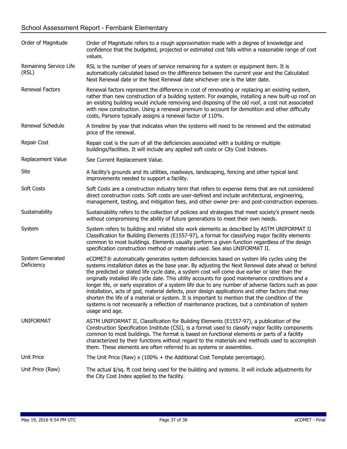## School Assessment Report - Fernbank Elementary

| Order of Magnitude              | Order of Magnitude refers to a rough approximation made with a degree of knowledge and<br>confidence that the budgeted, projected or estimated cost falls within a reasonable range of cost<br>values.                                                                                                                                                                                                                                                                                                                                                                                                                                                                                                                                                                                                                              |
|---------------------------------|-------------------------------------------------------------------------------------------------------------------------------------------------------------------------------------------------------------------------------------------------------------------------------------------------------------------------------------------------------------------------------------------------------------------------------------------------------------------------------------------------------------------------------------------------------------------------------------------------------------------------------------------------------------------------------------------------------------------------------------------------------------------------------------------------------------------------------------|
| Remaining Service Life<br>(RSL) | RSL is the number of years of service remaining for a system or equipment item. It is<br>automatically calculated based on the difference between the current year and the Calculated<br>Next Renewal date or the Next Renewal date whichever one is the later date.                                                                                                                                                                                                                                                                                                                                                                                                                                                                                                                                                                |
| Renewal Factors                 | Renewal factors represent the difference in cost of renovating or replacing an existing system,<br>rather than new construction of a building system. For example, installing a new built-up roof on<br>an existing building would include removing and disposing of the old roof, a cost not associated<br>with new construction. Using a renewal premium to account for demolition and other difficulty<br>costs, Parsons typically assigns a renewal factor of 110%.                                                                                                                                                                                                                                                                                                                                                             |
| Renewal Schedule                | A timeline by year that indicates when the systems will need to be renewed and the estimated<br>price of the renewal.                                                                                                                                                                                                                                                                                                                                                                                                                                                                                                                                                                                                                                                                                                               |
| Repair Cost                     | Repair cost is the sum of all the deficiencies associated with a building or multiple<br>buildings/facilities. It will include any applied soft costs or City Cost Indexes.                                                                                                                                                                                                                                                                                                                                                                                                                                                                                                                                                                                                                                                         |
| Replacement Value               | See Current Replacement Value.                                                                                                                                                                                                                                                                                                                                                                                                                                                                                                                                                                                                                                                                                                                                                                                                      |
| Site                            | A facility's grounds and its utilities, roadways, landscaping, fencing and other typical land<br>improvements needed to support a facility.                                                                                                                                                                                                                                                                                                                                                                                                                                                                                                                                                                                                                                                                                         |
| Soft Costs                      | Soft Costs are a construction industry term that refers to expense items that are not considered<br>direct construction costs. Soft costs are user-defined and include architectural, engineering,<br>management, testing, and mitigation fees, and other owner pre- and post-construction expenses.                                                                                                                                                                                                                                                                                                                                                                                                                                                                                                                                |
| Sustainability                  | Sustainability refers to the collection of policies and strategies that meet society's present needs<br>without compromising the ability of future generations to meet their own needs.                                                                                                                                                                                                                                                                                                                                                                                                                                                                                                                                                                                                                                             |
| System                          | System refers to building and related site work elements as described by ASTM UNIFORMAT II<br>Classification for Building Elements (E1557-97), a format for classifying major facility elements<br>common to most buildings. Elements usually perform a given function regardless of the design<br>specification construction method or materials used. See also UNIFORMAT II.                                                                                                                                                                                                                                                                                                                                                                                                                                                      |
| System Generated<br>Deficiency  | eCOMET® automatically generates system deficiencies based on system life cycles using the<br>systems installation dates as the base year. By adjusting the Next Renewal date ahead or behind<br>the predicted or stated life cycle date, a system cost will come due earlier or later than the<br>originally installed life cycle date. This utility accounts for good maintenance conditions and a<br>longer life, or early expiration of a system life due to any number of adverse factors such as poor<br>installation, acts of god, material defects, poor design applications and other factors that may<br>shorten the life of a material or system. It is important to mention that the condition of the<br>systems is not necessarily a reflection of maintenance practices, but a combination of system<br>usage and age. |
| <b>UNIFORMAT</b>                | ASTM UNIFORMAT II, Classification for Building Elements (E1557-97), a publication of the<br>Construction Specification Institute (CSI), is a format used to classify major facility components<br>common to most buildings. The format is based on functional elements or parts of a facility<br>characterized by their functions without regard to the materials and methods used to accomplish<br>them. These elements are often referred to as systems or assemblies.                                                                                                                                                                                                                                                                                                                                                            |
| Unit Price                      | The Unit Price (Raw) $x$ (100% + the Additional Cost Template percentage).                                                                                                                                                                                                                                                                                                                                                                                                                                                                                                                                                                                                                                                                                                                                                          |
| Unit Price (Raw)                | The actual \$/sq. ft cost being used for the building and systems. It will include adjustments for<br>the City Cost Index applied to the facility.                                                                                                                                                                                                                                                                                                                                                                                                                                                                                                                                                                                                                                                                                  |